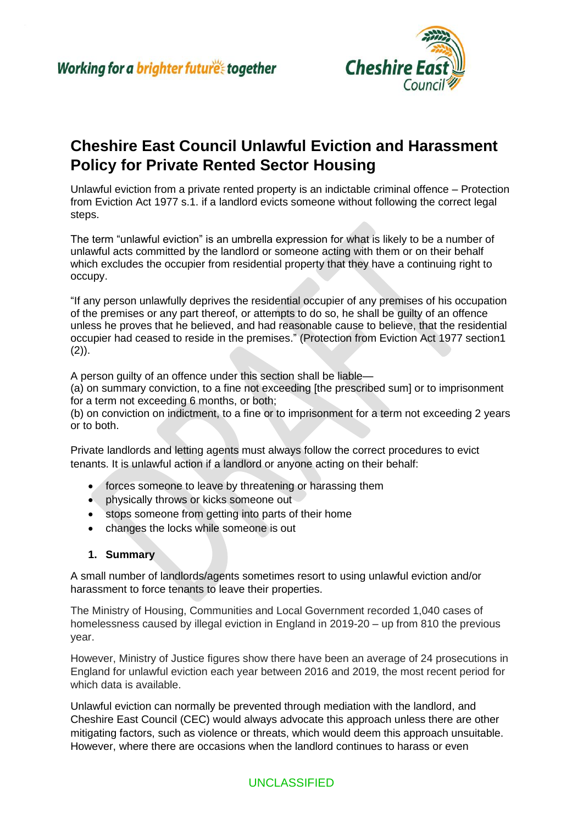

# **Cheshire East Council Unlawful Eviction and Harassment Policy for Private Rented Sector Housing**

Unlawful eviction from a private rented property is an indictable criminal offence – Protection from Eviction Act 1977 s.1. if a landlord evicts someone without following the correct legal steps.

The term "unlawful eviction" is an umbrella expression for what is likely to be a number of unlawful acts committed by the landlord or someone acting with them or on their behalf which excludes the occupier from residential property that they have a continuing right to occupy.

"If any person unlawfully deprives the residential occupier of any premises of his occupation of the premises or any part thereof, or attempts to do so, he shall be guilty of an offence unless he proves that he believed, and had reasonable cause to believe, that the residential occupier had ceased to reside in the premises." (Protection from Eviction Act 1977 section1  $(2)$ ).

A person guilty of an offence under this section shall be liable—

(a) on summary conviction, to a fine not exceeding [the prescribed sum] or to imprisonment for a term not exceeding 6 months, or both;

(b) on conviction on indictment, to a fine or to imprisonment for a term not exceeding 2 years or to both.

Private landlords and letting agents must always follow the correct procedures to evict tenants. It is unlawful action if a landlord or anyone acting on their behalf:

- forces someone to leave by threatening or harassing them
- physically throws or kicks someone out
- stops someone from getting into parts of their home
- changes the locks while someone is out

#### **1. Summary**

A small number of landlords/agents sometimes resort to using unlawful eviction and/or harassment to force tenants to leave their properties.

The Ministry of Housing, Communities and Local Government recorded 1,040 cases of homelessness caused by illegal eviction in England in 2019-20 – up from 810 the previous year.

However, Ministry of Justice figures show there have been an average of 24 prosecutions in England for unlawful eviction each year between 2016 and 2019, the most recent period for which data is available.

Unlawful eviction can normally be prevented through mediation with the landlord, and Cheshire East Council (CEC) would always advocate this approach unless there are other mitigating factors, such as violence or threats, which would deem this approach unsuitable. However, where there are occasions when the landlord continues to harass or even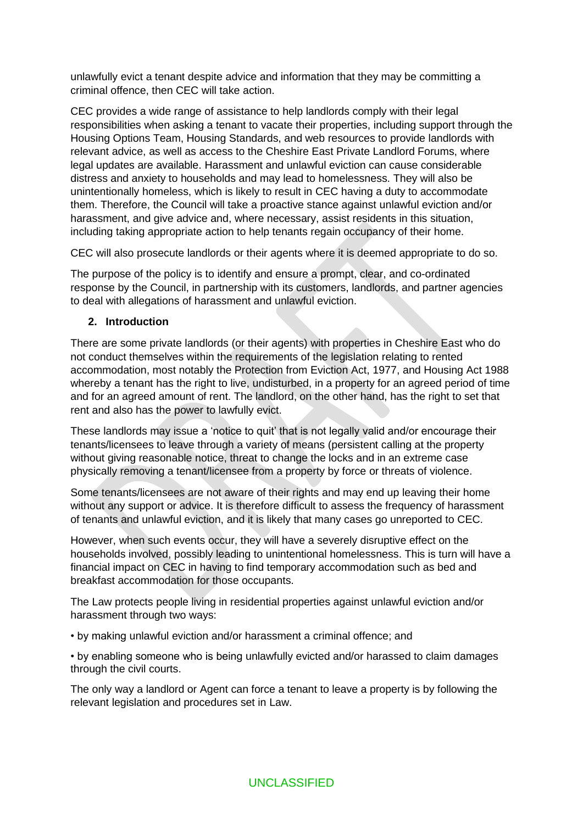unlawfully evict a tenant despite advice and information that they may be committing a criminal offence, then CEC will take action.

CEC provides a wide range of assistance to help landlords comply with their legal responsibilities when asking a tenant to vacate their properties, including support through the Housing Options Team, Housing Standards, and web resources to provide landlords with relevant advice, as well as access to the Cheshire East Private Landlord Forums, where legal updates are available. Harassment and unlawful eviction can cause considerable distress and anxiety to households and may lead to homelessness. They will also be unintentionally homeless, which is likely to result in CEC having a duty to accommodate them. Therefore, the Council will take a proactive stance against unlawful eviction and/or harassment, and give advice and, where necessary, assist residents in this situation, including taking appropriate action to help tenants regain occupancy of their home.

CEC will also prosecute landlords or their agents where it is deemed appropriate to do so.

The purpose of the policy is to identify and ensure a prompt, clear, and co-ordinated response by the Council, in partnership with its customers, landlords, and partner agencies to deal with allegations of harassment and unlawful eviction.

#### **2. Introduction**

There are some private landlords (or their agents) with properties in Cheshire East who do not conduct themselves within the requirements of the legislation relating to rented accommodation, most notably the Protection from Eviction Act, 1977, and Housing Act 1988 whereby a tenant has the right to live, undisturbed, in a property for an agreed period of time and for an agreed amount of rent. The landlord, on the other hand, has the right to set that rent and also has the power to lawfully evict.

These landlords may issue a 'notice to quit' that is not legally valid and/or encourage their tenants/licensees to leave through a variety of means (persistent calling at the property without giving reasonable notice, threat to change the locks and in an extreme case physically removing a tenant/licensee from a property by force or threats of violence.

Some tenants/licensees are not aware of their rights and may end up leaving their home without any support or advice. It is therefore difficult to assess the frequency of harassment of tenants and unlawful eviction, and it is likely that many cases go unreported to CEC.

However, when such events occur, they will have a severely disruptive effect on the households involved, possibly leading to unintentional homelessness. This is turn will have a financial impact on CEC in having to find temporary accommodation such as bed and breakfast accommodation for those occupants.

The Law protects people living in residential properties against unlawful eviction and/or harassment through two ways:

• by making unlawful eviction and/or harassment a criminal offence; and

• by enabling someone who is being unlawfully evicted and/or harassed to claim damages through the civil courts.

The only way a landlord or Agent can force a tenant to leave a property is by following the relevant legislation and procedures set in Law.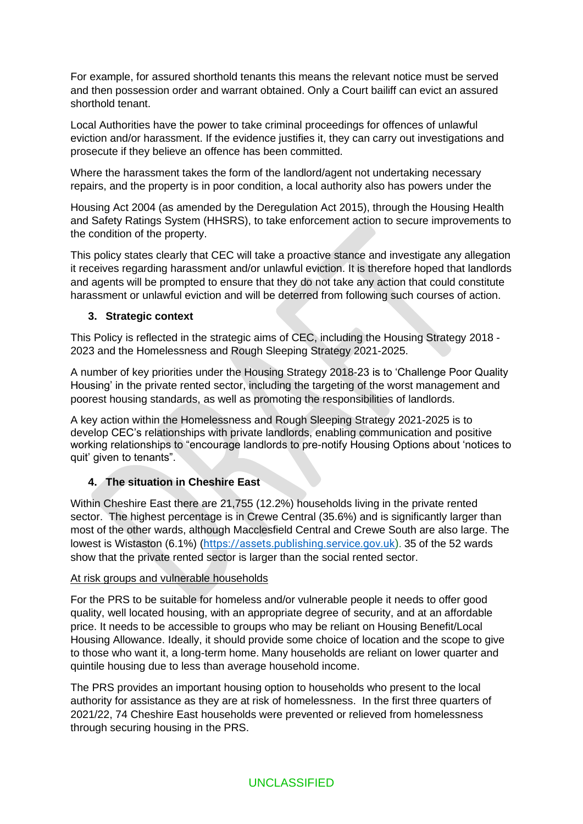For example, for assured shorthold tenants this means the relevant notice must be served and then possession order and warrant obtained. Only a Court bailiff can evict an assured shorthold tenant.

Local Authorities have the power to take criminal proceedings for offences of unlawful eviction and/or harassment. If the evidence justifies it, they can carry out investigations and prosecute if they believe an offence has been committed.

Where the harassment takes the form of the landlord/agent not undertaking necessary repairs, and the property is in poor condition, a local authority also has powers under the

Housing Act 2004 (as amended by the Deregulation Act 2015), through the Housing Health and Safety Ratings System (HHSRS), to take enforcement action to secure improvements to the condition of the property.

This policy states clearly that CEC will take a proactive stance and investigate any allegation it receives regarding harassment and/or unlawful eviction. It is therefore hoped that landlords and agents will be prompted to ensure that they do not take any action that could constitute harassment or unlawful eviction and will be deterred from following such courses of action.

#### **3. Strategic context**

This Policy is reflected in the strategic aims of CEC, including the Housing Strategy 2018 - 2023 and the Homelessness and Rough Sleeping Strategy 2021-2025.

A number of key priorities under the Housing Strategy 2018-23 is to 'Challenge Poor Quality Housing' in the private rented sector, including the targeting of the worst management and poorest housing standards, as well as promoting the responsibilities of landlords.

A key action within the Homelessness and Rough Sleeping Strategy 2021-2025 is to develop CEC's relationships with private landlords, enabling communication and positive working relationships to "encourage landlords to pre-notify Housing Options about 'notices to quit' given to tenants".

## **4. The situation in Cheshire East**

Within Cheshire East there are 21,755 (12.2%) households living in the private rented sector. The highest percentage is in Crewe Central (35.6%) and is significantly larger than most of the other wards, although Macclesfield Central and Crewe South are also large. The lowest is Wistaston (6.1%) ([https://assets.publishing.service.gov.uk\)](https://assets.publishing.service.gov.uk/). 35 of the 52 wards show that the private rented sector is larger than the social rented sector.

#### At risk groups and vulnerable households

For the PRS to be suitable for homeless and/or vulnerable people it needs to offer good quality, well located housing, with an appropriate degree of security, and at an affordable price. It needs to be accessible to groups who may be reliant on Housing Benefit/Local Housing Allowance. Ideally, it should provide some choice of location and the scope to give to those who want it, a long-term home. Many households are reliant on lower quarter and quintile housing due to less than average household income.

The PRS provides an important housing option to households who present to the local authority for assistance as they are at risk of homelessness. In the first three quarters of 2021/22, 74 Cheshire East households were prevented or relieved from homelessness through securing housing in the PRS.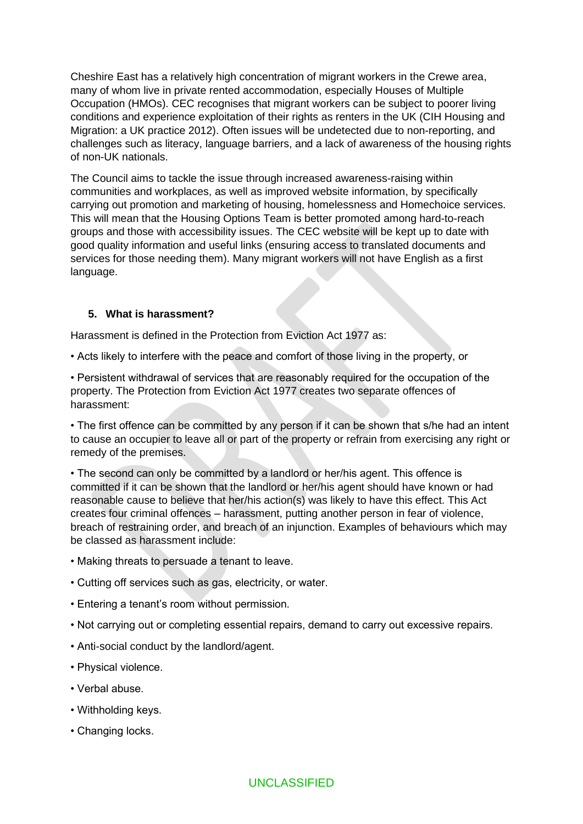Cheshire East has a relatively high concentration of migrant workers in the Crewe area, many of whom live in private rented accommodation, especially Houses of Multiple Occupation (HMOs). CEC recognises that migrant workers can be subject to poorer living conditions and experience exploitation of their rights as renters in the UK (CIH Housing and Migration: a UK practice 2012). Often issues will be undetected due to non-reporting, and challenges such as literacy, language barriers, and a lack of awareness of the housing rights of non-UK nationals.

The Council aims to tackle the issue through increased awareness-raising within communities and workplaces, as well as improved website information, by specifically carrying out promotion and marketing of housing, homelessness and Homechoice services. This will mean that the Housing Options Team is better promoted among hard-to-reach groups and those with accessibility issues. The CEC website will be kept up to date with good quality information and useful links (ensuring access to translated documents and services for those needing them). Many migrant workers will not have English as a first language.

#### **5. What is harassment?**

Harassment is defined in the Protection from Eviction Act 1977 as:

• Acts likely to interfere with the peace and comfort of those living in the property, or

• Persistent withdrawal of services that are reasonably required for the occupation of the property. The Protection from Eviction Act 1977 creates two separate offences of harassment:

• The first offence can be committed by any person if it can be shown that s/he had an intent to cause an occupier to leave all or part of the property or refrain from exercising any right or remedy of the premises.

• The second can only be committed by a landlord or her/his agent. This offence is committed if it can be shown that the landlord or her/his agent should have known or had reasonable cause to believe that her/his action(s) was likely to have this effect. This Act creates four criminal offences – harassment, putting another person in fear of violence, breach of restraining order, and breach of an injunction. Examples of behaviours which may be classed as harassment include:

- Making threats to persuade a tenant to leave.
- Cutting off services such as gas, electricity, or water.
- Entering a tenant's room without permission.
- Not carrying out or completing essential repairs, demand to carry out excessive repairs.
- Anti-social conduct by the landlord/agent.
- Physical violence.
- Verbal abuse.
- Withholding keys.
- Changing locks.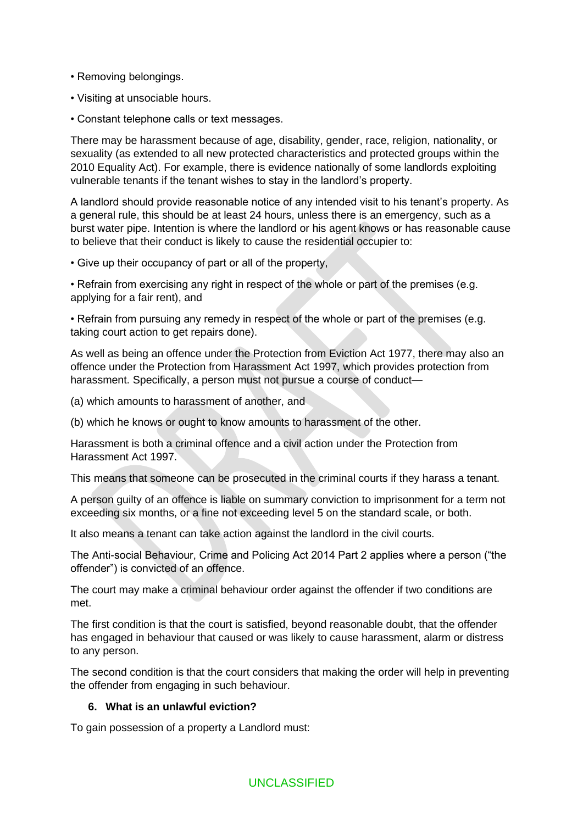- Removing belongings.
- Visiting at unsociable hours.
- Constant telephone calls or text messages.

There may be harassment because of age, disability, gender, race, religion, nationality, or sexuality (as extended to all new protected characteristics and protected groups within the 2010 Equality Act). For example, there is evidence nationally of some landlords exploiting vulnerable tenants if the tenant wishes to stay in the landlord's property.

A landlord should provide reasonable notice of any intended visit to his tenant's property. As a general rule, this should be at least 24 hours, unless there is an emergency, such as a burst water pipe. Intention is where the landlord or his agent knows or has reasonable cause to believe that their conduct is likely to cause the residential occupier to:

• Give up their occupancy of part or all of the property,

• Refrain from exercising any right in respect of the whole or part of the premises (e.g. applying for a fair rent), and

• Refrain from pursuing any remedy in respect of the whole or part of the premises (e.g. taking court action to get repairs done).

As well as being an offence under the Protection from Eviction Act 1977, there may also an offence under the Protection from Harassment Act 1997, which provides protection from harassment. Specifically, a person must not pursue a course of conduct—

(a) which amounts to harassment of another, and

(b) which he knows or ought to know amounts to harassment of the other.

Harassment is both a criminal offence and a civil action under the Protection from Harassment Act 1997.

This means that someone can be prosecuted in the criminal courts if they harass a tenant.

A person guilty of an offence is liable on summary conviction to imprisonment for a term not exceeding six months, or a fine not exceeding level 5 on the standard scale, or both.

It also means a tenant can take action against the landlord in the civil courts.

The Anti-social Behaviour, Crime and Policing Act 2014 Part 2 applies where a person ("the offender") is convicted of an offence.

The court may make a criminal behaviour order against the offender if two conditions are met.

The first condition is that the court is satisfied, beyond reasonable doubt, that the offender has engaged in behaviour that caused or was likely to cause harassment, alarm or distress to any person.

The second condition is that the court considers that making the order will help in preventing the offender from engaging in such behaviour.

#### **6. What is an unlawful eviction?**

To gain possession of a property a Landlord must: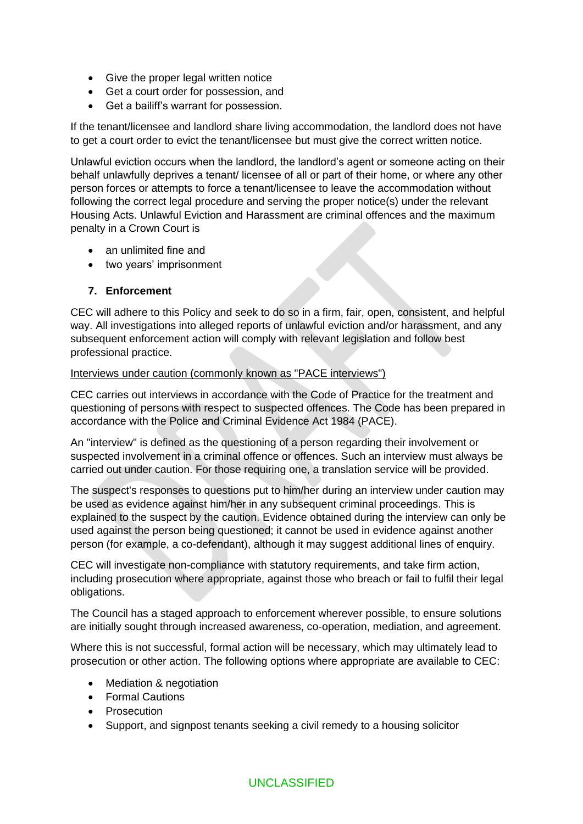- Give the proper legal written notice
- Get a court order for possession, and
- Get a bailiff's warrant for possession.

If the tenant/licensee and landlord share living accommodation, the landlord does not have to get a court order to evict the tenant/licensee but must give the correct written notice.

Unlawful eviction occurs when the landlord, the landlord's agent or someone acting on their behalf unlawfully deprives a tenant/ licensee of all or part of their home, or where any other person forces or attempts to force a tenant/licensee to leave the accommodation without following the correct legal procedure and serving the proper notice(s) under the relevant Housing Acts. Unlawful Eviction and Harassment are criminal offences and the maximum penalty in a Crown Court is

- an unlimited fine and
- two years' imprisonment

#### **7. Enforcement**

CEC will adhere to this Policy and seek to do so in a firm, fair, open, consistent, and helpful way. All investigations into alleged reports of unlawful eviction and/or harassment, and any subsequent enforcement action will comply with relevant legislation and follow best professional practice.

#### Interviews under caution (commonly known as "PACE interviews")

CEC carries out interviews in accordance with the Code of Practice for the treatment and questioning of persons with respect to suspected offences. The Code has been prepared in accordance with the Police and Criminal Evidence Act 1984 (PACE).

An "interview" is defined as the questioning of a person regarding their involvement or suspected involvement in a criminal offence or offences. Such an interview must always be carried out under caution. For those requiring one, a translation service will be provided.

The suspect's responses to questions put to him/her during an interview under caution may be used as evidence against him/her in any subsequent criminal proceedings. This is explained to the suspect by the caution. Evidence obtained during the interview can only be used against the person being questioned; it cannot be used in evidence against another person (for example, a co-defendant), although it may suggest additional lines of enquiry.

CEC will investigate non-compliance with statutory requirements, and take firm action, including prosecution where appropriate, against those who breach or fail to fulfil their legal obligations.

The Council has a staged approach to enforcement wherever possible, to ensure solutions are initially sought through increased awareness, co-operation, mediation, and agreement.

Where this is not successful, formal action will be necessary, which may ultimately lead to prosecution or other action. The following options where appropriate are available to CEC:

- Mediation & negotiation
- Formal Cautions
- Prosecution
- Support, and signpost tenants seeking a civil remedy to a housing solicitor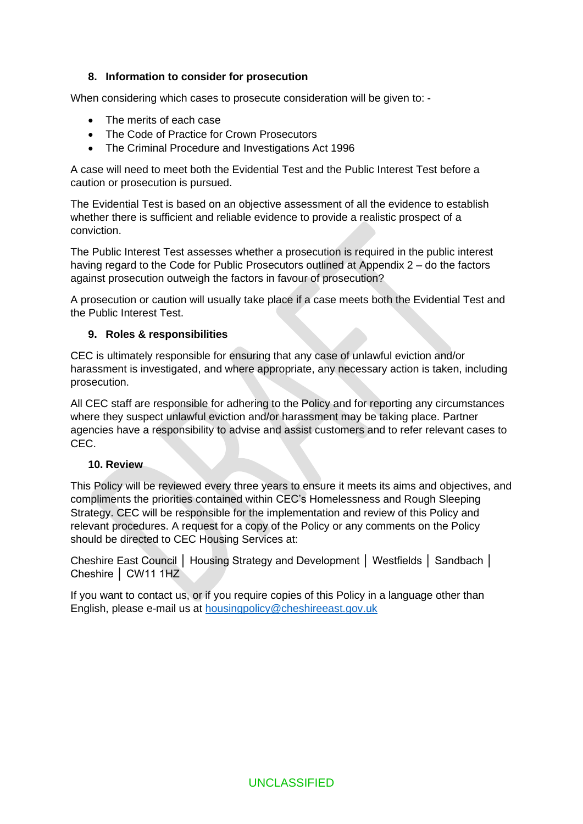#### **8. Information to consider for prosecution**

When considering which cases to prosecute consideration will be given to: -

- The merits of each case
- The Code of Practice for Crown Prosecutors
- The Criminal Procedure and Investigations Act 1996

A case will need to meet both the Evidential Test and the Public Interest Test before a caution or prosecution is pursued.

The Evidential Test is based on an objective assessment of all the evidence to establish whether there is sufficient and reliable evidence to provide a realistic prospect of a conviction.

The Public Interest Test assesses whether a prosecution is required in the public interest having regard to the Code for Public Prosecutors outlined at Appendix 2 – do the factors against prosecution outweigh the factors in favour of prosecution?

A prosecution or caution will usually take place if a case meets both the Evidential Test and the Public Interest Test.

#### **9. Roles & responsibilities**

CEC is ultimately responsible for ensuring that any case of unlawful eviction and/or harassment is investigated, and where appropriate, any necessary action is taken, including prosecution.

All CEC staff are responsible for adhering to the Policy and for reporting any circumstances where they suspect unlawful eviction and/or harassment may be taking place. Partner agencies have a responsibility to advise and assist customers and to refer relevant cases to CEC.

#### **10. Review**

This Policy will be reviewed every three years to ensure it meets its aims and objectives, and compliments the priorities contained within CEC's Homelessness and Rough Sleeping Strategy. CEC will be responsible for the implementation and review of this Policy and relevant procedures. A request for a copy of the Policy or any comments on the Policy should be directed to CEC Housing Services at:

Cheshire East Council │ Housing Strategy and Development │ Westfields │ Sandbach │ Cheshire │ CW11 1HZ

If you want to contact us, or if you require copies of this Policy in a language other than English, please e-mail us at [housingpolicy@cheshireeast.gov.uk](mailto:housingpolicy@cheshireeast.gov.uk)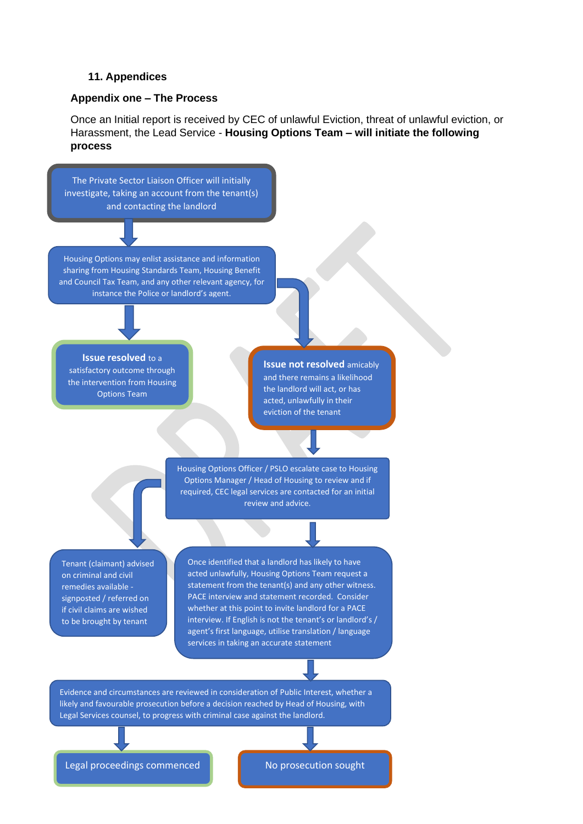#### **11. Appendices**

#### **Appendix one – The Process**

Once an Initial report is received by CEC of unlawful Eviction, threat of unlawful eviction, or Harassment, the Lead Service - **Housing Options Team – will initiate the following process**



Legal proceedings commenced  $\begin{array}{|c|c|}\n\hline\n\end{array}$  No prosecution sought

UNCLASSIFIED AND STRUCK